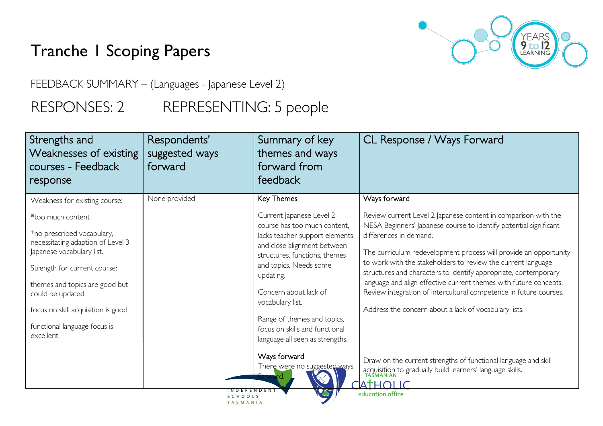## Tranche 1 Scoping Papers

YEARS<br>**9 to 12**<br>LEARNING

FEEDBACK SUMMARY – (Languages - Japanese Level 2)

RESPONSES: 2 REPRESENTING: 5 people

| Strengths and<br>Weaknesses of existing<br>courses - Feedback<br>response                                                                                                                                                                                                                                                    | Respondents'<br>suggested ways<br>forward  | Summary of key<br>themes and ways<br>forward from<br>feedback                                                                                                                                                                                                                                                                                                                    | CL Response / Ways Forward                                                                                                                                                                                                                                                                                                                                                                                                                                                                                                                                                              |
|------------------------------------------------------------------------------------------------------------------------------------------------------------------------------------------------------------------------------------------------------------------------------------------------------------------------------|--------------------------------------------|----------------------------------------------------------------------------------------------------------------------------------------------------------------------------------------------------------------------------------------------------------------------------------------------------------------------------------------------------------------------------------|-----------------------------------------------------------------------------------------------------------------------------------------------------------------------------------------------------------------------------------------------------------------------------------------------------------------------------------------------------------------------------------------------------------------------------------------------------------------------------------------------------------------------------------------------------------------------------------------|
| Weakness for existing course:<br>*too much content<br>*no prescribed vocabulary,<br>necessitating adaption of Level 3<br>Japanese vocabulary list.<br>Strength for current course:<br>themes and topics are good but<br>could be updated<br>focus on skill acquisition is good<br>functional language focus is<br>excellent. | None provided                              | Key Themes<br>Current Japanese Level 2<br>course has too much content,<br>lacks teacher support elements<br>and close alignment between<br>structures, functions, themes<br>and topics. Needs some<br>updating.<br>Concern about lack of<br>vocabulary list.<br>Range of themes and topics,<br>focus on skills and functional<br>language all seen as strengths.<br>Ways forward | Ways forward<br>Review current Level 2 Japanese content in comparison with the<br>NESA Beginners' Japanese course to identify potential significant<br>differences in demand.<br>The curriculum redevelopment process will provide an opportunity<br>to work with the stakeholders to review the current language<br>structures and characters to identify appropriate, contemporary<br>language and align effective current themes with future concepts.<br>Review integration of intercultural competence in future courses.<br>Address the concern about a lack of vocabulary lists. |
|                                                                                                                                                                                                                                                                                                                              | I N D E P E N D E N<br>SCHOOLS<br>TASMANIA | There were no suggested ways                                                                                                                                                                                                                                                                                                                                                     | Draw on the current strengths of functional language and skill<br>acquisition to gradually build learners' language skills.<br>ATHOLIC<br>education office                                                                                                                                                                                                                                                                                                                                                                                                                              |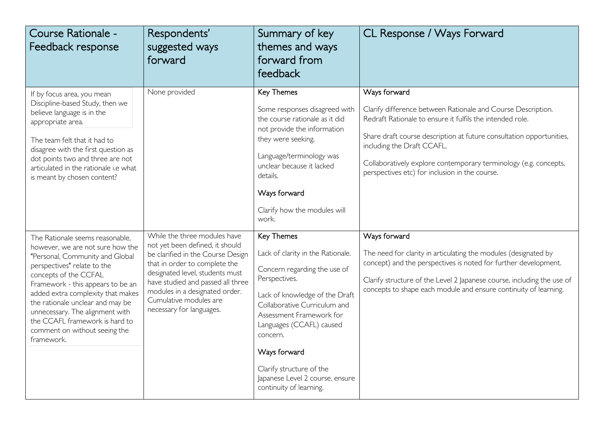| Course Rationale -<br>Feedback response                                                                                                                                                                                                                                                                                                                                                          | Respondents'<br>suggested ways<br>forward                                                                                                                                                                                                                                                             | Summary of key<br>themes and ways<br>forward from<br>feedback                                                                                                                                                                                                                                                                                    | CL Response / Ways Forward                                                                                                                                                                                                                                                                                                                                            |
|--------------------------------------------------------------------------------------------------------------------------------------------------------------------------------------------------------------------------------------------------------------------------------------------------------------------------------------------------------------------------------------------------|-------------------------------------------------------------------------------------------------------------------------------------------------------------------------------------------------------------------------------------------------------------------------------------------------------|--------------------------------------------------------------------------------------------------------------------------------------------------------------------------------------------------------------------------------------------------------------------------------------------------------------------------------------------------|-----------------------------------------------------------------------------------------------------------------------------------------------------------------------------------------------------------------------------------------------------------------------------------------------------------------------------------------------------------------------|
| If by focus area, you mean<br>Discipline-based Study, then we<br>believe language is in the<br>appropriate area.<br>The team felt that it had to<br>disagree with the first question as<br>dot points two and three are not<br>articulated in the rationale i.e what<br>is meant by chosen content?                                                                                              | None provided                                                                                                                                                                                                                                                                                         | Key Themes<br>Some responses disagreed with<br>the course rationale as it did<br>not provide the information<br>they were seeking.<br>Language/terminology was<br>unclear because it lacked<br>details.<br>Ways forward<br>Clarify how the modules will<br>work.                                                                                 | Ways forward<br>Clarify difference between Rationale and Course Description.<br>Redraft Rationale to ensure it fulfils the intended role.<br>Share draft course description at future consultation opportunities,<br>including the Draft CCAFL.<br>Collaboratively explore contemporary terminology (e.g. concepts,<br>perspectives etc) for inclusion in the course. |
| The Rationale seems reasonable,<br>however, we are not sure how the<br>"Personal, Community and Global<br>perspectives" relate to the<br>concepts of the CCFAL<br>Framework - this appears to be an<br>added extra complexity that makes<br>the rationale unclear and may be<br>unnecessary. The alignment with<br>the CCAFL framework is hard to<br>comment on without seeing the<br>framework. | While the three modules have<br>not yet been defined, it should<br>be clarified in the Course Design<br>that in order to complete the<br>designated level, students must<br>have studied and passed all three<br>modules in a designated order.<br>Cumulative modules are<br>necessary for languages. | Key Themes<br>Lack of clarity in the Rationale.<br>Concern regarding the use of<br>Perspectives.<br>Lack of knowledge of the Draft<br>Collaborative Curriculum and<br>Assessment Framework for<br>Languages (CCAFL) caused<br>concern.<br>Ways forward<br>Clarify structure of the<br>Japanese Level 2 course, ensure<br>continuity of learning. | Ways forward<br>The need for clarity in articulating the modules (designated by<br>concept) and the perspectives is noted for further development.<br>Clarify structure of the Level 2 Japanese course, including the use of<br>concepts to shape each module and ensure continuity of learning.                                                                      |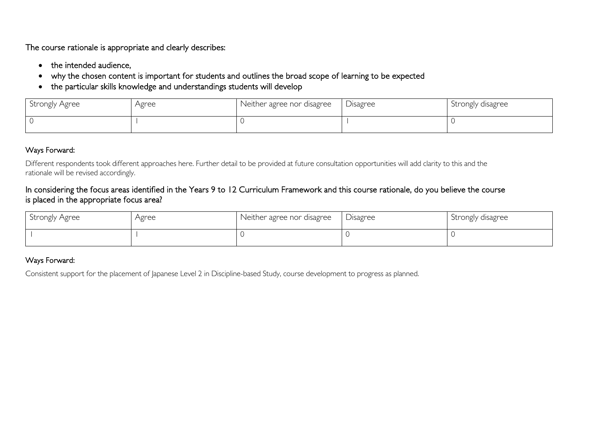The course rationale is appropriate and clearly describes:

- the intended audience,
- why the chosen content is important for students and outlines the broad scope of learning to be expected
- the particular skills knowledge and understandings students will develop

| Strongly Agree | Agree | Neither agree nor disagree | Disagree | Strongly disagree |
|----------------|-------|----------------------------|----------|-------------------|
|                |       |                            |          |                   |

## Ways Forward:

Different respondents took different approaches here. Further detail to be provided at future consultation opportunities will add clarity to this and the rationale will be revised accordingly.

## In considering the focus areas identified in the Years 9 to 12 Curriculum Framework and this course rationale, do you believe the course is placed in the appropriate focus area?

| Strongly Agree | Agree | Neither agree nor disagree | Disagree | Strongly disagree |
|----------------|-------|----------------------------|----------|-------------------|
|                |       |                            |          |                   |

## Ways Forward:

Consistent support for the placement of Japanese Level 2 in Discipline-based Study, course development to progress as planned.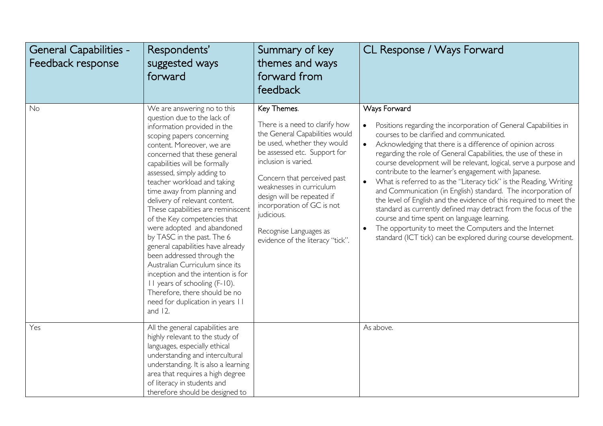| <b>General Capabilities -</b><br>Feedback response | Respondents'<br>suggested ways<br>forward                                                                                                                                                                                                                                                                                                                                                                                                                                                                                                                                                                                                                                                                                                           | Summary of key<br>themes and ways<br>forward from<br>feedback                                                                                                                                                                                                                                                                                                             | CL Response / Ways Forward                                                                                                                                                                                                                                                                                                                                                                                                                                                                                                                                                                                                                                                                                                                                                                                                                                                        |
|----------------------------------------------------|-----------------------------------------------------------------------------------------------------------------------------------------------------------------------------------------------------------------------------------------------------------------------------------------------------------------------------------------------------------------------------------------------------------------------------------------------------------------------------------------------------------------------------------------------------------------------------------------------------------------------------------------------------------------------------------------------------------------------------------------------------|---------------------------------------------------------------------------------------------------------------------------------------------------------------------------------------------------------------------------------------------------------------------------------------------------------------------------------------------------------------------------|-----------------------------------------------------------------------------------------------------------------------------------------------------------------------------------------------------------------------------------------------------------------------------------------------------------------------------------------------------------------------------------------------------------------------------------------------------------------------------------------------------------------------------------------------------------------------------------------------------------------------------------------------------------------------------------------------------------------------------------------------------------------------------------------------------------------------------------------------------------------------------------|
| No                                                 | We are answering no to this<br>question due to the lack of<br>information provided in the<br>scoping papers concerning<br>content. Moreover, we are<br>concerned that these general<br>capabilities will be formally<br>assessed, simply adding to<br>teacher workload and taking<br>time away from planning and<br>delivery of relevant content.<br>These capabilities are reminiscent<br>of the Key competencies that<br>were adopted and abandoned<br>by TASC in the past. The 6<br>general capabilities have already<br>been addressed through the<br>Australian Curriculum since its<br>inception and the intention is for<br>II years of schooling (F-10).<br>Therefore, there should be no<br>need for duplication in years II<br>and $12$ . | Key Themes.<br>There is a need to clarify how<br>the General Capabilities would<br>be used, whether they would<br>be assessed etc. Support for<br>inclusion is varied.<br>Concern that perceived past<br>weaknesses in curriculum<br>design will be repeated if<br>incorporation of GC is not<br>judicious.<br>Recognise Languages as<br>evidence of the literacy "tick". | Ways Forward<br>Positions regarding the incorporation of General Capabilities in<br>$\bullet$<br>courses to be clarified and communicated.<br>$\bullet$<br>Acknowledging that there is a difference of opinion across<br>regarding the role of General Capabilities, the use of these in<br>course development will be relevant, logical, serve a purpose and<br>contribute to the learner's engagement with Japanese.<br>What is referred to as the "Literacy tick" is the Reading, Writing<br>and Communication (in English) standard. The incorporation of<br>the level of English and the evidence of this required to meet the<br>standard as currently defined may detract from the focus of the<br>course and time spent on language learning.<br>The opportunity to meet the Computers and the Internet<br>standard (ICT tick) can be explored during course development. |
| Yes                                                | All the general capabilities are<br>highly relevant to the study of<br>languages, especially ethical<br>understanding and intercultural<br>understanding. It is also a learning<br>area that requires a high degree<br>of literacy in students and<br>therefore should be designed to                                                                                                                                                                                                                                                                                                                                                                                                                                                               |                                                                                                                                                                                                                                                                                                                                                                           | As above.                                                                                                                                                                                                                                                                                                                                                                                                                                                                                                                                                                                                                                                                                                                                                                                                                                                                         |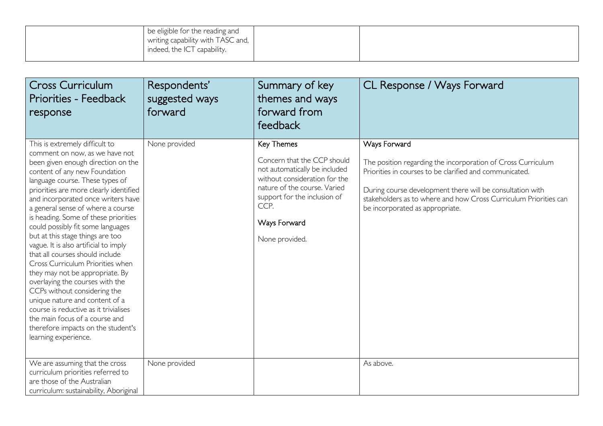| indeed, the ICT capability. |  | be eligible for the reading and<br>  writing capability with TASC and, |  |  |  |
|-----------------------------|--|------------------------------------------------------------------------|--|--|--|
|-----------------------------|--|------------------------------------------------------------------------|--|--|--|

| <b>Cross Curriculum</b><br><b>Priorities - Feedback</b><br>response                                                                                                                                                                                                                                                                                                                                                                                                                                                                                                                                                                                                                                                                                                                                               | Respondents'<br>suggested ways<br>forward | Summary of key<br>themes and ways<br>forward from<br>feedback                                                                                                                                                         | CL Response / Ways Forward                                                                                                                                                                                                                                                                                  |
|-------------------------------------------------------------------------------------------------------------------------------------------------------------------------------------------------------------------------------------------------------------------------------------------------------------------------------------------------------------------------------------------------------------------------------------------------------------------------------------------------------------------------------------------------------------------------------------------------------------------------------------------------------------------------------------------------------------------------------------------------------------------------------------------------------------------|-------------------------------------------|-----------------------------------------------------------------------------------------------------------------------------------------------------------------------------------------------------------------------|-------------------------------------------------------------------------------------------------------------------------------------------------------------------------------------------------------------------------------------------------------------------------------------------------------------|
| This is extremely difficult to<br>comment on now, as we have not<br>been given enough direction on the<br>content of any new Foundation<br>language course. These types of<br>priorities are more clearly identified<br>and incorporated once writers have<br>a general sense of where a course<br>is heading. Some of these priorities<br>could possibly fit some languages<br>but at this stage things are too<br>vague. It is also artificial to imply<br>that all courses should include<br>Cross Curriculum Priorities when<br>they may not be appropriate. By<br>overlaying the courses with the<br>CCPs without considering the<br>unique nature and content of a<br>course is reductive as it trivialises<br>the main focus of a course and<br>therefore impacts on the student's<br>learning experience. | None provided                             | Key Themes<br>Concern that the CCP should<br>not automatically be included<br>without consideration for the<br>nature of the course. Varied<br>support for the inclusion of<br>CCP.<br>Ways Forward<br>None provided. | Ways Forward<br>The position regarding the incorporation of Cross Curriculum<br>Priorities in courses to be clarified and communicated.<br>During course development there will be consultation with<br>stakeholders as to where and how Cross Curriculum Priorities can<br>be incorporated as appropriate. |
| We are assuming that the cross<br>curriculum priorities referred to<br>are those of the Australian<br>curriculum: sustainability, Aboriginal                                                                                                                                                                                                                                                                                                                                                                                                                                                                                                                                                                                                                                                                      | None provided                             |                                                                                                                                                                                                                       | As above.                                                                                                                                                                                                                                                                                                   |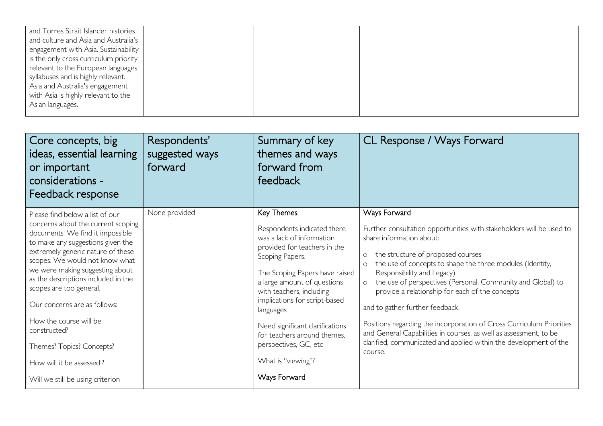| and Torres Strait Islander histories  |  |  |
|---------------------------------------|--|--|
| and culture and Asia and Australia's  |  |  |
| engagement with Asia. Sustainability  |  |  |
| is the only cross curriculum priority |  |  |
| relevant to the European languages    |  |  |
| syllabuses and is highly relevant.    |  |  |
| Asia and Australia's engagement       |  |  |
| with Asia is highly relevant to the   |  |  |
| Asian languages.                      |  |  |
|                                       |  |  |

| Core concepts, big<br>ideas, essential learning<br>or important<br>considerations -<br>Feedback response                                                                                                                                                                                                                                                                                                                                                                                           | Respondents'<br>suggested ways<br>forward | Summary of key<br>themes and ways<br>forward from<br>feedback                                                                                                                                                                                                                                                                                                                                         | CL Response / Ways Forward                                                                                                                                                                                                                                                                                                                                                                                                                                                                                                                                                                                                                                          |
|----------------------------------------------------------------------------------------------------------------------------------------------------------------------------------------------------------------------------------------------------------------------------------------------------------------------------------------------------------------------------------------------------------------------------------------------------------------------------------------------------|-------------------------------------------|-------------------------------------------------------------------------------------------------------------------------------------------------------------------------------------------------------------------------------------------------------------------------------------------------------------------------------------------------------------------------------------------------------|---------------------------------------------------------------------------------------------------------------------------------------------------------------------------------------------------------------------------------------------------------------------------------------------------------------------------------------------------------------------------------------------------------------------------------------------------------------------------------------------------------------------------------------------------------------------------------------------------------------------------------------------------------------------|
| Please find below a list of our<br>concerns about the current scoping<br>documents. We find it impossible<br>to make any suggestions given the<br>extremely generic nature of these<br>scopes. We would not know what<br>we were making suggesting about<br>as the descriptions included in the<br>scopes are too general.<br>Our concerns are as follows:<br>How the course will be<br>constructed?<br>Themes? Topics? Concepts?<br>How will it be assessed?<br>Will we still be using criterion- | None provided                             | Key Themes<br>Respondents indicated there<br>was a lack of information<br>provided for teachers in the<br>Scoping Papers.<br>The Scoping Papers have raised<br>a large amount of questions<br>with teachers, including<br>implications for script-based<br>languages<br>Need significant clarifications<br>for teachers around themes,<br>perspectives, GC, etc<br>What is "viewing"?<br>Ways Forward | Ways Forward<br>Further consultation opportunities with stakeholders will be used to<br>share information about:<br>the structure of proposed courses<br>$\circ$<br>the use of concepts to shape the three modules (Identity,<br>$\circ$<br>Responsibility and Legacy)<br>the use of perspectives (Personal, Community and Global) to<br>$\circ$<br>provide a relationship for each of the concepts<br>and to gather further feedback.<br>Positions regarding the incorporation of Cross Curriculum Priorities<br>and General Capabilities in courses, as well as assessment, to be<br>clarified, communicated and applied within the development of the<br>course. |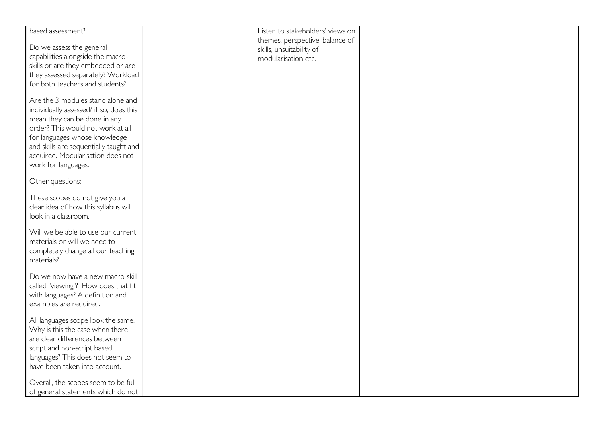| based assessment?                       | Listen to stakeholders' views on |  |
|-----------------------------------------|----------------------------------|--|
|                                         |                                  |  |
|                                         | themes, perspective, balance of  |  |
| Do we assess the general                | skills, unsuitability of         |  |
| capabilities alongside the macro-       | modularisation etc.              |  |
| skills or are they embedded or are      |                                  |  |
| they assessed separately? Workload      |                                  |  |
| for both teachers and students?         |                                  |  |
|                                         |                                  |  |
| Are the 3 modules stand alone and       |                                  |  |
|                                         |                                  |  |
| individually assessed? if so, does this |                                  |  |
| mean they can be done in any            |                                  |  |
| order? This would not work at all       |                                  |  |
| for languages whose knowledge           |                                  |  |
| and skills are sequentially taught and  |                                  |  |
|                                         |                                  |  |
| acquired. Modularisation does not       |                                  |  |
| work for languages.                     |                                  |  |
|                                         |                                  |  |
| Other questions:                        |                                  |  |
|                                         |                                  |  |
| These scopes do not give you a          |                                  |  |
| clear idea of how this syllabus will    |                                  |  |
| look in a classroom.                    |                                  |  |
|                                         |                                  |  |
| Will we be able to use our current      |                                  |  |
| materials or will we need to            |                                  |  |
|                                         |                                  |  |
| completely change all our teaching      |                                  |  |
| materials?                              |                                  |  |
|                                         |                                  |  |
| Do we now have a new macro-skill        |                                  |  |
| called "viewing"? How does that fit     |                                  |  |
| with languages? A definition and        |                                  |  |
| examples are required.                  |                                  |  |
|                                         |                                  |  |
| All languages scope look the same.      |                                  |  |
| Why is this the case when there         |                                  |  |
|                                         |                                  |  |
| are clear differences between           |                                  |  |
| script and non-script based             |                                  |  |
| languages? This does not seem to        |                                  |  |
| have been taken into account.           |                                  |  |
|                                         |                                  |  |
| Overall, the scopes seem to be full     |                                  |  |
| of general statements which do not      |                                  |  |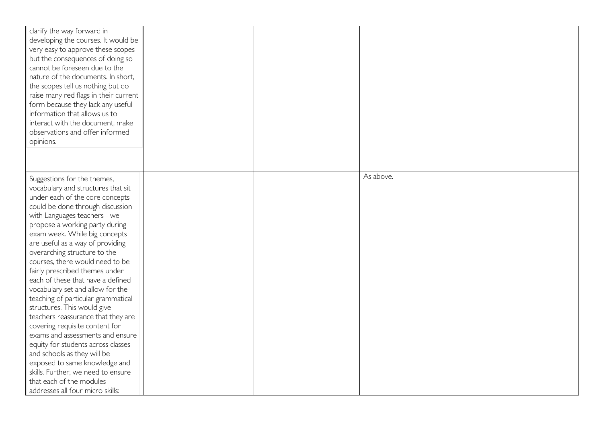| clarify the way forward in<br>developing the courses. It would be<br>very easy to approve these scopes<br>but the consequences of doing so<br>cannot be foreseen due to the<br>nature of the documents. In short,<br>the scopes tell us nothing but do<br>raise many red flags in their current<br>form because they lack any useful<br>information that allows us to<br>interact with the document, make<br>observations and offer informed<br>opinions.                                                                                                                                                                                                                                                                                                                                  |  |           |
|--------------------------------------------------------------------------------------------------------------------------------------------------------------------------------------------------------------------------------------------------------------------------------------------------------------------------------------------------------------------------------------------------------------------------------------------------------------------------------------------------------------------------------------------------------------------------------------------------------------------------------------------------------------------------------------------------------------------------------------------------------------------------------------------|--|-----------|
| Suggestions for the themes,<br>vocabulary and structures that sit<br>under each of the core concepts<br>could be done through discussion<br>with Languages teachers - we<br>propose a working party during<br>exam week. While big concepts<br>are useful as a way of providing<br>overarching structure to the<br>courses, there would need to be<br>fairly prescribed themes under<br>each of these that have a defined<br>vocabulary set and allow for the<br>teaching of particular grammatical<br>structures. This would give<br>teachers reassurance that they are<br>covering requisite content for<br>exams and assessments and ensure<br>equity for students across classes<br>and schools as they will be<br>exposed to same knowledge and<br>skills. Further, we need to ensure |  | As above. |